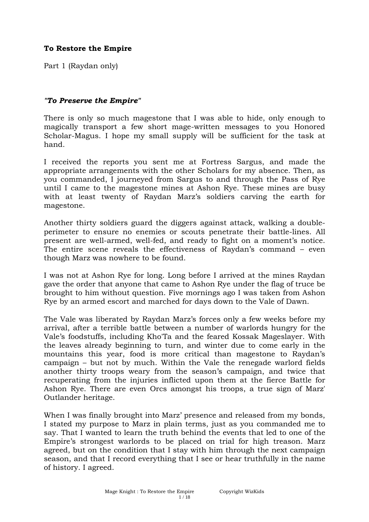Part 1 (Raydan only)

## *"To Preserve the Empire"*

There is only so much magestone that I was able to hide, only enough to magically transport a few short mage-written messages to you Honored Scholar-Magus. I hope my small supply will be sufficient for the task at hand.

I received the reports you sent me at Fortress Sargus, and made the appropriate arrangements with the other Scholars for my absence. Then, as you commanded, I journeyed from Sargus to and through the Pass of Rye until I came to the magestone mines at Ashon Rye. These mines are busy with at least twenty of Raydan Marz's soldiers carving the earth for magestone.

Another thirty soldiers guard the diggers against attack, walking a doubleperimeter to ensure no enemies or scouts penetrate their battle-lines. All present are well-armed, well-fed, and ready to fight on a moment's notice. The entire scene reveals the effectiveness of Raydan's command – even though Marz was nowhere to be found.

I was not at Ashon Rye for long. Long before I arrived at the mines Raydan gave the order that anyone that came to Ashon Rye under the flag of truce be brought to him without question. Five mornings ago I was taken from Ashon Rye by an armed escort and marched for days down to the Vale of Dawn.

The Vale was liberated by Raydan Marz's forces only a few weeks before my arrival, after a terrible battle between a number of warlords hungry for the Vale's foodstuffs, including Kho'Ta and the feared Kossak Mageslayer. With the leaves already beginning to turn, and winter due to come early in the mountains this year, food is more critical than magestone to Raydan's campaign – but not by much. Within the Vale the renegade warlord fields another thirty troops weary from the season's campaign, and twice that recuperating from the injuries inflicted upon them at the fierce Battle for Ashon Rye. There are even Orcs amongst his troops, a true sign of Marz' Outlander heritage.

When I was finally brought into Marz' presence and released from my bonds, I stated my purpose to Marz in plain terms, just as you commanded me to say. That I wanted to learn the truth behind the events that led to one of the Empire's strongest warlords to be placed on trial for high treason. Marz agreed, but on the condition that I stay with him through the next campaign season, and that I record everything that I see or hear truthfully in the name of history. I agreed.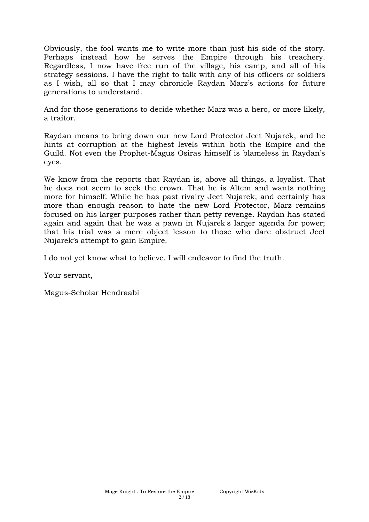Obviously, the fool wants me to write more than just his side of the story. Perhaps instead how he serves the Empire through his treachery. Regardless, I now have free run of the village, his camp, and all of his strategy sessions. I have the right to talk with any of his officers or soldiers as I wish, all so that I may chronicle Raydan Marz's actions for future generations to understand.

And for those generations to decide whether Marz was a hero, or more likely, a traitor.

Raydan means to bring down our new Lord Protector Jeet Nujarek, and he hints at corruption at the highest levels within both the Empire and the Guild. Not even the Prophet-Magus Osiras himself is blameless in Raydan's eyes.

We know from the reports that Raydan is, above all things, a loyalist. That he does not seem to seek the crown. That he is Altem and wants nothing more for himself. While he has past rivalry Jeet Nujarek, and certainly has more than enough reason to hate the new Lord Protector, Marz remains focused on his larger purposes rather than petty revenge. Raydan has stated again and again that he was a pawn in Nujarek's larger agenda for power; that his trial was a mere object lesson to those who dare obstruct Jeet Nujarek's attempt to gain Empire.

I do not yet know what to believe. I will endeavor to find the truth.

Your servant,

Magus-Scholar Hendraabi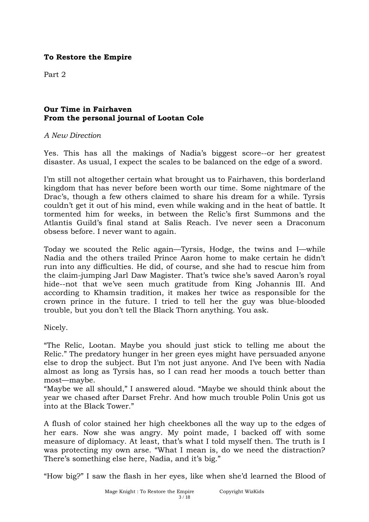Part 2

## **Our Time in Fairhaven From the personal journal of Lootan Cole**

#### *A New Direction*

Yes. This has all the makings of Nadia's biggest score--or her greatest disaster. As usual, I expect the scales to be balanced on the edge of a sword.

I'm still not altogether certain what brought us to Fairhaven, this borderland kingdom that has never before been worth our time. Some nightmare of the Drac's, though a few others claimed to share his dream for a while. Tyrsis couldn't get it out of his mind, even while waking and in the heat of battle. It tormented him for weeks, in between the Relic's first Summons and the Atlantis Guild's final stand at Salis Reach. I've never seen a Draconum obsess before. I never want to again.

Today we scouted the Relic again—Tyrsis, Hodge, the twins and I—while Nadia and the others trailed Prince Aaron home to make certain he didn't run into any difficulties. He did, of course, and she had to rescue him from the claim-jumping Jarl Daw Magister. That's twice she's saved Aaron's royal hide--not that we've seen much gratitude from King Johannis III. And according to Khamsin tradition, it makes her twice as responsible for the crown prince in the future. I tried to tell her the guy was blue-blooded trouble, but you don't tell the Black Thorn anything. You ask.

Nicely.

"The Relic, Lootan. Maybe you should just stick to telling me about the Relic." The predatory hunger in her green eyes might have persuaded anyone else to drop the subject. But I'm not just anyone. And I've been with Nadia almost as long as Tyrsis has, so I can read her moods a touch better than most—maybe.

"Maybe we all should," I answered aloud. "Maybe we should think about the year we chased after Darset Frehr. And how much trouble Polin Unis got us into at the Black Tower."

A flush of color stained her high cheekbones all the way up to the edges of her ears. Now she was angry. My point made, I backed off with some measure of diplomacy. At least, that's what I told myself then. The truth is I was protecting my own arse. "What I mean is, do we need the distraction? There's something else here, Nadia, and it's big."

"How big?" I saw the flash in her eyes, like when she'd learned the Blood of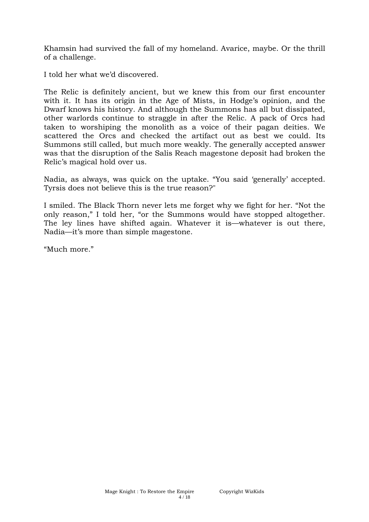Khamsin had survived the fall of my homeland. Avarice, maybe. Or the thrill of a challenge.

I told her what we'd discovered.

The Relic is definitely ancient, but we knew this from our first encounter with it. It has its origin in the Age of Mists, in Hodge's opinion, and the Dwarf knows his history. And although the Summons has all but dissipated, other warlords continue to straggle in after the Relic. A pack of Orcs had taken to worshiping the monolith as a voice of their pagan deities. We scattered the Orcs and checked the artifact out as best we could. Its Summons still called, but much more weakly. The generally accepted answer was that the disruption of the Salis Reach magestone deposit had broken the Relic's magical hold over us.

Nadia, as always, was quick on the uptake. "You said 'generally' accepted. Tyrsis does not believe this is the true reason?"

I smiled. The Black Thorn never lets me forget why we fight for her. "Not the only reason," I told her, "or the Summons would have stopped altogether. The ley lines have shifted again. Whatever it is—whatever is out there, Nadia—it's more than simple magestone.

"Much more."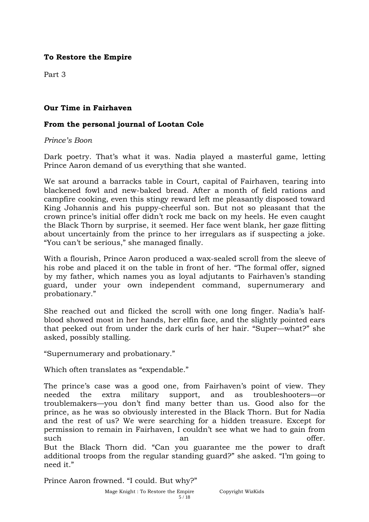Part 3

## **Our Time in Fairhaven**

### **From the personal journal of Lootan Cole**

#### *Prince's Boon*

Dark poetry. That's what it was. Nadia played a masterful game, letting Prince Aaron demand of us everything that she wanted.

We sat around a barracks table in Court, capital of Fairhaven, tearing into blackened fowl and new-baked bread. After a month of field rations and campfire cooking, even this stingy reward left me pleasantly disposed toward King Johannis and his puppy-cheerful son. But not so pleasant that the crown prince's initial offer didn't rock me back on my heels. He even caught the Black Thorn by surprise, it seemed. Her face went blank, her gaze flitting about uncertainly from the prince to her irregulars as if suspecting a joke. "You can't be serious," she managed finally.

With a flourish, Prince Aaron produced a wax-sealed scroll from the sleeve of his robe and placed it on the table in front of her. "The formal offer, signed by my father, which names you as loyal adjutants to Fairhaven's standing guard, under your own independent command, supernumerary and probationary."

She reached out and flicked the scroll with one long finger. Nadia's halfblood showed most in her hands, her elfin face, and the slightly pointed ears that peeked out from under the dark curls of her hair. "Super—what?" she asked, possibly stalling.

"Supernumerary and probationary."

Which often translates as "expendable."

The prince's case was a good one, from Fairhaven's point of view. They needed the extra military support, and as troubleshooters—or troublemakers—you don't find many better than us. Good also for the prince, as he was so obviously interested in the Black Thorn. But for Nadia and the rest of us? We were searching for a hidden treasure. Except for permission to remain in Fairhaven, I couldn't see what we had to gain from such an an offer. But the Black Thorn did. "Can you guarantee me the power to draft additional troops from the regular standing guard?" she asked. "I'm going to need it."

Prince Aaron frowned. "I could. But why?"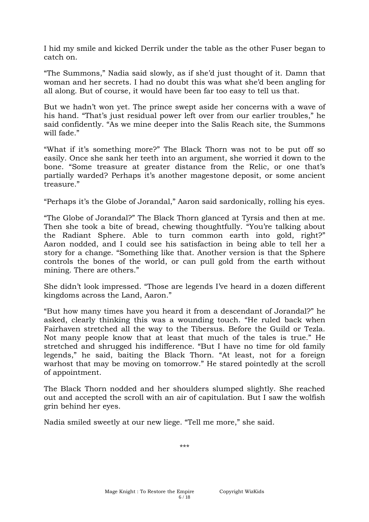I hid my smile and kicked Derrik under the table as the other Fuser began to catch on.

"The Summons," Nadia said slowly, as if she'd just thought of it. Damn that woman and her secrets. I had no doubt this was what she'd been angling for all along. But of course, it would have been far too easy to tell us that.

But we hadn't won yet. The prince swept aside her concerns with a wave of his hand. "That's just residual power left over from our earlier troubles," he said confidently. "As we mine deeper into the Salis Reach site, the Summons will fade."

"What if it's something more?" The Black Thorn was not to be put off so easily. Once she sank her teeth into an argument, she worried it down to the bone. "Some treasure at greater distance from the Relic, or one that's partially warded? Perhaps it's another magestone deposit, or some ancient treasure."

"Perhaps it's the Globe of Jorandal," Aaron said sardonically, rolling his eyes.

"The Globe of Jorandal?" The Black Thorn glanced at Tyrsis and then at me. Then she took a bite of bread, chewing thoughtfully. "You're talking about the Radiant Sphere. Able to turn common earth into gold, right?" Aaron nodded, and I could see his satisfaction in being able to tell her a story for a change. "Something like that. Another version is that the Sphere controls the bones of the world, or can pull gold from the earth without mining. There are others."

She didn't look impressed. "Those are legends I've heard in a dozen different kingdoms across the Land, Aaron."

"But how many times have you heard it from a descendant of Jorandal?" he asked, clearly thinking this was a wounding touch. "He ruled back when Fairhaven stretched all the way to the Tibersus. Before the Guild or Tezla. Not many people know that at least that much of the tales is true." He stretched and shrugged his indifference. "But I have no time for old family legends," he said, baiting the Black Thorn. "At least, not for a foreign warhost that may be moving on tomorrow." He stared pointedly at the scroll of appointment.

The Black Thorn nodded and her shoulders slumped slightly. She reached out and accepted the scroll with an air of capitulation. But I saw the wolfish grin behind her eyes.

Nadia smiled sweetly at our new liege. "Tell me more," she said.

\*\*\*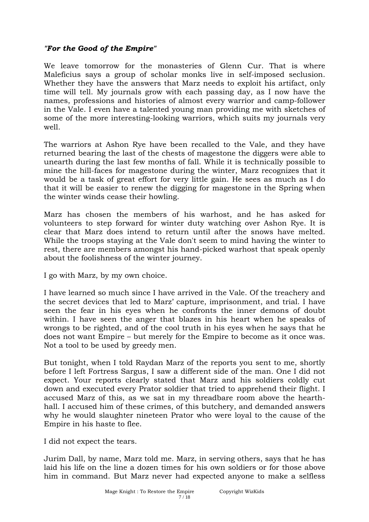## *"For the Good of the Empire"*

We leave tomorrow for the monasteries of Glenn Cur. That is where Maleficius says a group of scholar monks live in self-imposed seclusion. Whether they have the answers that Marz needs to exploit his artifact, only time will tell. My journals grow with each passing day, as I now have the names, professions and histories of almost every warrior and camp-follower in the Vale. I even have a talented young man providing me with sketches of some of the more interesting-looking warriors, which suits my journals very well.

The warriors at Ashon Rye have been recalled to the Vale, and they have returned bearing the last of the chests of magestone the diggers were able to unearth during the last few months of fall. While it is technically possible to mine the hill-faces for magestone during the winter, Marz recognizes that it would be a task of great effort for very little gain. He sees as much as I do that it will be easier to renew the digging for magestone in the Spring when the winter winds cease their howling.

Marz has chosen the members of his warhost, and he has asked for volunteers to step forward for winter duty watching over Ashon Rye. It is clear that Marz does intend to return until after the snows have melted. While the troops staying at the Vale don't seem to mind having the winter to rest, there are members amongst his hand-picked warhost that speak openly about the foolishness of the winter journey.

I go with Marz, by my own choice.

I have learned so much since I have arrived in the Vale. Of the treachery and the secret devices that led to Marz' capture, imprisonment, and trial. I have seen the fear in his eyes when he confronts the inner demons of doubt within. I have seen the anger that blazes in his heart when he speaks of wrongs to be righted, and of the cool truth in his eyes when he says that he does not want Empire – but merely for the Empire to become as it once was. Not a tool to be used by greedy men.

But tonight, when I told Raydan Marz of the reports you sent to me, shortly before I left Fortress Sargus, I saw a different side of the man. One I did not expect. Your reports clearly stated that Marz and his soldiers coldly cut down and executed every Prator soldier that tried to apprehend their flight. I accused Marz of this, as we sat in my threadbare room above the hearthhall. I accused him of these crimes, of this butchery, and demanded answers why he would slaughter nineteen Prator who were loyal to the cause of the Empire in his haste to flee.

I did not expect the tears.

Jurim Dall, by name, Marz told me. Marz, in serving others, says that he has laid his life on the line a dozen times for his own soldiers or for those above him in command. But Marz never had expected anyone to make a selfless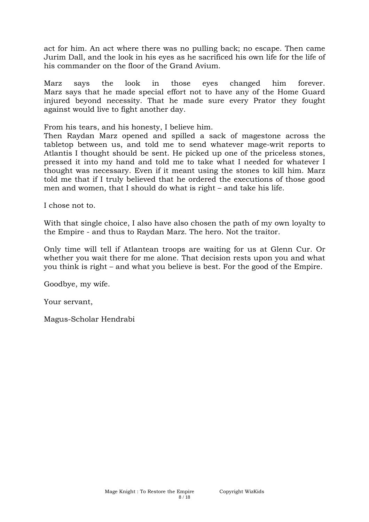act for him. An act where there was no pulling back; no escape. Then came Jurim Dall, and the look in his eyes as he sacrificed his own life for the life of his commander on the floor of the Grand Avium.

Marz says the look in those eyes changed him forever. Marz says that he made special effort not to have any of the Home Guard injured beyond necessity. That he made sure every Prator they fought against would live to fight another day.

From his tears, and his honesty, I believe him.

Then Raydan Marz opened and spilled a sack of magestone across the tabletop between us, and told me to send whatever mage-writ reports to Atlantis I thought should be sent. He picked up one of the priceless stones, pressed it into my hand and told me to take what I needed for whatever I thought was necessary. Even if it meant using the stones to kill him. Marz told me that if I truly believed that he ordered the executions of those good men and women, that I should do what is right – and take his life.

I chose not to.

With that single choice, I also have also chosen the path of my own loyalty to the Empire - and thus to Raydan Marz. The hero. Not the traitor.

Only time will tell if Atlantean troops are waiting for us at Glenn Cur. Or whether you wait there for me alone. That decision rests upon you and what you think is right – and what you believe is best. For the good of the Empire.

Goodbye, my wife.

Your servant,

Magus-Scholar Hendrabi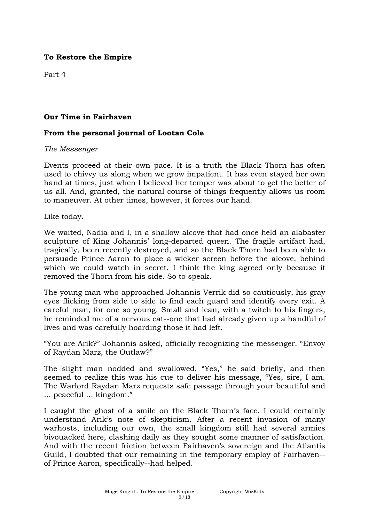Part 4

### **Our Time in Fairhaven**

### **From the personal journal of Lootan Cole**

#### *The Messenger*

Events proceed at their own pace. It is a truth the Black Thorn has often used to chivvy us along when we grow impatient. It has even stayed her own hand at times, just when I believed her temper was about to get the better of us all. And, granted, the natural course of things frequently allows us room to maneuver. At other times, however, it forces our hand.

Like today.

We waited, Nadia and I, in a shallow alcove that had once held an alabaster sculpture of King Johannis' long-departed queen. The fragile artifact had, tragically, been recently destroyed, and so the Black Thorn had been able to persuade Prince Aaron to place a wicker screen before the alcove, behind which we could watch in secret. I think the king agreed only because it removed the Thorn from his side. So to speak.

The young man who approached Johannis Verrik did so cautiously, his gray eyes flicking from side to side to find each guard and identify every exit. A careful man, for one so young. Small and lean, with a twitch to his fingers, he reminded me of a nervous cat--one that had already given up a handful of lives and was carefully hoarding those it had left.

"You are Arik?" Johannis asked, officially recognizing the messenger. "Envoy of Raydan Marz, the Outlaw?"

The slight man nodded and swallowed. "Yes," he said briefly, and then seemed to realize this was his cue to deliver his message, "Yes, sire, I am. The Warlord Raydan Marz requests safe passage through your beautiful and ... peaceful ... kingdom."

I caught the ghost of a smile on the Black Thorn's face. I could certainly understand Arik's note of skepticism. After a recent invasion of many warhosts, including our own, the small kingdom still had several armies bivouacked here, clashing daily as they sought some manner of satisfaction. And with the recent friction between Fairhaven's sovereign and the Atlantis Guild, I doubted that our remaining in the temporary employ of Fairhaven- of Prince Aaron, specifically--had helped.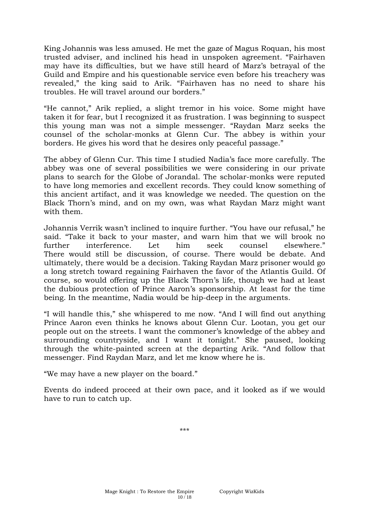King Johannis was less amused. He met the gaze of Magus Roquan, his most trusted adviser, and inclined his head in unspoken agreement. "Fairhaven may have its difficulties, but we have still heard of Marz's betrayal of the Guild and Empire and his questionable service even before his treachery was revealed," the king said to Arik. "Fairhaven has no need to share his troubles. He will travel around our borders."

"He cannot," Arik replied, a slight tremor in his voice. Some might have taken it for fear, but I recognized it as frustration. I was beginning to suspect this young man was not a simple messenger. "Raydan Marz seeks the counsel of the scholar-monks at Glenn Cur. The abbey is within your borders. He gives his word that he desires only peaceful passage."

The abbey of Glenn Cur. This time I studied Nadia's face more carefully. The abbey was one of several possibilities we were considering in our private plans to search for the Globe of Jorandal. The scholar-monks were reputed to have long memories and excellent records. They could know something of this ancient artifact, and it was knowledge we needed. The question on the Black Thorn's mind, and on my own, was what Raydan Marz might want with them.

Johannis Verrik wasn't inclined to inquire further. "You have our refusal," he said. "Take it back to your master, and warn him that we will brook no further interference. Let him seek counsel elsewhere." There would still be discussion, of course. There would be debate. And ultimately, there would be a decision. Taking Raydan Marz prisoner would go a long stretch toward regaining Fairhaven the favor of the Atlantis Guild. Of course, so would offering up the Black Thorn's life, though we had at least the dubious protection of Prince Aaron's sponsorship. At least for the time being. In the meantime, Nadia would be hip-deep in the arguments.

"I will handle this," she whispered to me now. "And I will find out anything Prince Aaron even thinks he knows about Glenn Cur. Lootan, you get our people out on the streets. I want the commoner's knowledge of the abbey and surrounding countryside, and I want it tonight." She paused, looking through the white-painted screen at the departing Arik. "And follow that messenger. Find Raydan Marz, and let me know where he is.

"We may have a new player on the board."

Events do indeed proceed at their own pace, and it looked as if we would have to run to catch up.

\*\*\*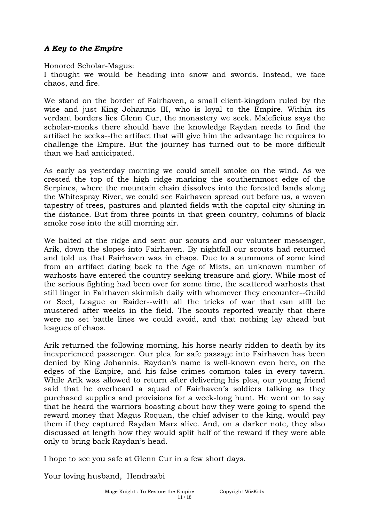# *A Key to the Empire*

Honored Scholar-Magus:

I thought we would be heading into snow and swords. Instead, we face chaos, and fire.

We stand on the border of Fairhaven, a small client-kingdom ruled by the wise and just King Johannis III, who is loyal to the Empire. Within its verdant borders lies Glenn Cur, the monastery we seek. Maleficius says the scholar-monks there should have the knowledge Raydan needs to find the artifact he seeks--the artifact that will give him the advantage he requires to challenge the Empire. But the journey has turned out to be more difficult than we had anticipated.

As early as yesterday morning we could smell smoke on the wind. As we crested the top of the high ridge marking the southernmost edge of the Serpines, where the mountain chain dissolves into the forested lands along the Whitespray River, we could see Fairhaven spread out before us, a woven tapestry of trees, pastures and planted fields with the capital city shining in the distance. But from three points in that green country, columns of black smoke rose into the still morning air.

We halted at the ridge and sent our scouts and our volunteer messenger, Arik, down the slopes into Fairhaven. By nightfall our scouts had returned and told us that Fairhaven was in chaos. Due to a summons of some kind from an artifact dating back to the Age of Mists, an unknown number of warhosts have entered the country seeking treasure and glory. While most of the serious fighting had been over for some time, the scattered warhosts that still linger in Fairhaven skirmish daily with whomever they encounter--Guild or Sect, League or Raider--with all the tricks of war that can still be mustered after weeks in the field. The scouts reported wearily that there were no set battle lines we could avoid, and that nothing lay ahead but leagues of chaos.

Arik returned the following morning, his horse nearly ridden to death by its inexperienced passenger. Our plea for safe passage into Fairhaven has been denied by King Johannis. Raydan's name is well-known even here, on the edges of the Empire, and his false crimes common tales in every tavern. While Arik was allowed to return after delivering his plea, our young friend said that he overheard a squad of Fairhaven's soldiers talking as they purchased supplies and provisions for a week-long hunt. He went on to say that he heard the warriors boasting about how they were going to spend the reward money that Magus Roquan, the chief adviser to the king, would pay them if they captured Raydan Marz alive. And, on a darker note, they also discussed at length how they would split half of the reward if they were able only to bring back Raydan's head.

I hope to see you safe at Glenn Cur in a few short days.

Your loving husband, Hendraabi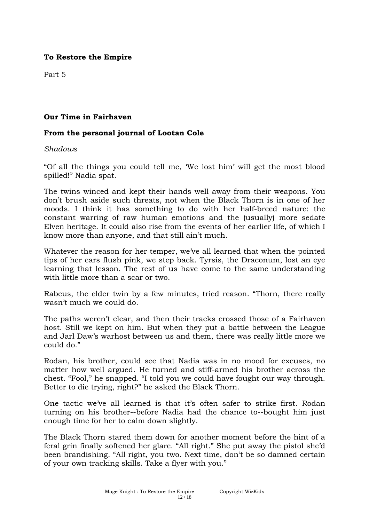Part 5

## **Our Time in Fairhaven**

### **From the personal journal of Lootan Cole**

#### *Shadows*

"Of all the things you could tell me, 'We lost him' will get the most blood spilled!" Nadia spat.

The twins winced and kept their hands well away from their weapons. You don't brush aside such threats, not when the Black Thorn is in one of her moods. I think it has something to do with her half-breed nature: the constant warring of raw human emotions and the (usually) more sedate Elven heritage. It could also rise from the events of her earlier life, of which I know more than anyone, and that still ain't much.

Whatever the reason for her temper, we've all learned that when the pointed tips of her ears flush pink, we step back. Tyrsis, the Draconum, lost an eye learning that lesson. The rest of us have come to the same understanding with little more than a scar or two.

Rabeus, the elder twin by a few minutes, tried reason. "Thorn, there really wasn't much we could do.

The paths weren't clear, and then their tracks crossed those of a Fairhaven host. Still we kept on him. But when they put a battle between the League and Jarl Daw's warhost between us and them, there was really little more we could do."

Rodan, his brother, could see that Nadia was in no mood for excuses, no matter how well argued. He turned and stiff-armed his brother across the chest. "Fool," he snapped. "I told you we could have fought our way through. Better to die trying, right?" he asked the Black Thorn.

One tactic we've all learned is that it's often safer to strike first. Rodan turning on his brother--before Nadia had the chance to--bought him just enough time for her to calm down slightly.

The Black Thorn stared them down for another moment before the hint of a feral grin finally softened her glare. "All right." She put away the pistol she'd been brandishing. "All right, you two. Next time, don't be so damned certain of your own tracking skills. Take a flyer with you."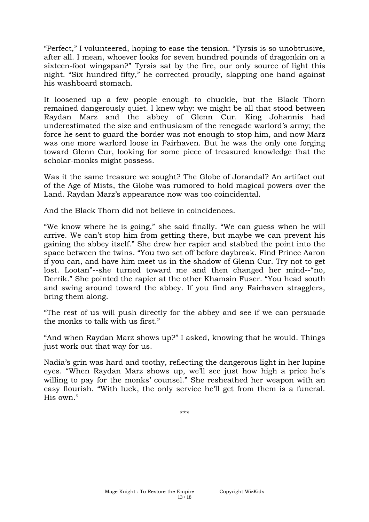"Perfect," I volunteered, hoping to ease the tension. "Tyrsis is so unobtrusive, after all. I mean, whoever looks for seven hundred pounds of dragonkin on a sixteen-foot wingspan?" Tyrsis sat by the fire, our only source of light this night. "Six hundred fifty," he corrected proudly, slapping one hand against his washboard stomach.

It loosened up a few people enough to chuckle, but the Black Thorn remained dangerously quiet. I knew why: we might be all that stood between Raydan Marz and the abbey of Glenn Cur. King Johannis had underestimated the size and enthusiasm of the renegade warlord's army; the force he sent to guard the border was not enough to stop him, and now Marz was one more warlord loose in Fairhaven. But he was the only one forging toward Glenn Cur, looking for some piece of treasured knowledge that the scholar-monks might possess.

Was it the same treasure we sought? The Globe of Jorandal? An artifact out of the Age of Mists, the Globe was rumored to hold magical powers over the Land. Raydan Marz's appearance now was too coincidental.

And the Black Thorn did not believe in coincidences.

"We know where he is going," she said finally. "We can guess when he will arrive. We can't stop him from getting there, but maybe we can prevent his gaining the abbey itself." She drew her rapier and stabbed the point into the space between the twins. "You two set off before daybreak. Find Prince Aaron if you can, and have him meet us in the shadow of Glenn Cur. Try not to get lost. Lootan"--she turned toward me and then changed her mind--"no, Derrik." She pointed the rapier at the other Khamsin Fuser. "You head south and swing around toward the abbey. If you find any Fairhaven stragglers, bring them along.

"The rest of us will push directly for the abbey and see if we can persuade the monks to talk with us first."

"And when Raydan Marz shows up?" I asked, knowing that he would. Things just work out that way for us.

Nadia's grin was hard and toothy, reflecting the dangerous light in her lupine eyes. "When Raydan Marz shows up, we'll see just how high a price he's willing to pay for the monks' counsel." She resheathed her weapon with an easy flourish. "With luck, the only service he'll get from them is a funeral. His own."

\*\*\*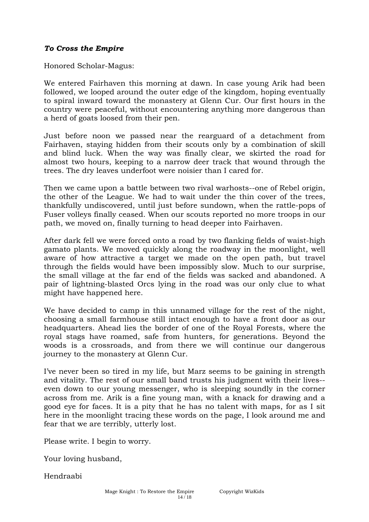## *To Cross the Empire*

Honored Scholar-Magus:

We entered Fairhaven this morning at dawn. In case young Arik had been followed, we looped around the outer edge of the kingdom, hoping eventually to spiral inward toward the monastery at Glenn Cur. Our first hours in the country were peaceful, without encountering anything more dangerous than a herd of goats loosed from their pen.

Just before noon we passed near the rearguard of a detachment from Fairhaven, staying hidden from their scouts only by a combination of skill and blind luck. When the way was finally clear, we skirted the road for almost two hours, keeping to a narrow deer track that wound through the trees. The dry leaves underfoot were noisier than I cared for.

Then we came upon a battle between two rival warhosts--one of Rebel origin, the other of the League. We had to wait under the thin cover of the trees, thankfully undiscovered, until just before sundown, when the rattle-pops of Fuser volleys finally ceased. When our scouts reported no more troops in our path, we moved on, finally turning to head deeper into Fairhaven.

After dark fell we were forced onto a road by two flanking fields of waist-high gamato plants. We moved quickly along the roadway in the moonlight, well aware of how attractive a target we made on the open path, but travel through the fields would have been impossibly slow. Much to our surprise, the small village at the far end of the fields was sacked and abandoned. A pair of lightning-blasted Orcs lying in the road was our only clue to what might have happened here.

We have decided to camp in this unnamed village for the rest of the night, choosing a small farmhouse still intact enough to have a front door as our headquarters. Ahead lies the border of one of the Royal Forests, where the royal stags have roamed, safe from hunters, for generations. Beyond the woods is a crossroads, and from there we will continue our dangerous journey to the monastery at Glenn Cur.

I've never been so tired in my life, but Marz seems to be gaining in strength and vitality. The rest of our small band trusts his judgment with their lives- even down to our young messenger, who is sleeping soundly in the corner across from me. Arik is a fine young man, with a knack for drawing and a good eye for faces. It is a pity that he has no talent with maps, for as I sit here in the moonlight tracing these words on the page, I look around me and fear that we are terribly, utterly lost.

Please write. I begin to worry.

Your loving husband,

Hendraabi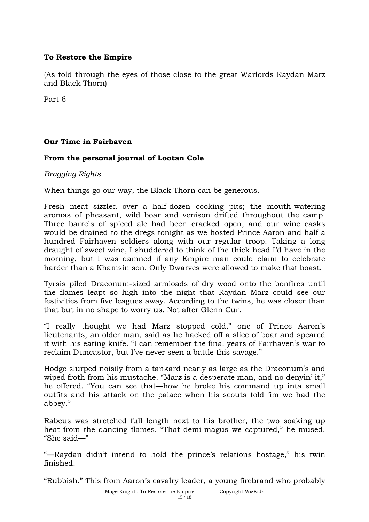(As told through the eyes of those close to the great Warlords Raydan Marz and Black Thorn)

Part 6

# **Our Time in Fairhaven**

# **From the personal journal of Lootan Cole**

## *Bragging Rights*

When things go our way, the Black Thorn can be generous.

Fresh meat sizzled over a half-dozen cooking pits; the mouth-watering aromas of pheasant, wild boar and venison drifted throughout the camp. Three barrels of spiced ale had been cracked open, and our wine casks would be drained to the dregs tonight as we hosted Prince Aaron and half a hundred Fairhaven soldiers along with our regular troop. Taking a long draught of sweet wine, I shuddered to think of the thick head I'd have in the morning, but I was damned if any Empire man could claim to celebrate harder than a Khamsin son. Only Dwarves were allowed to make that boast.

Tyrsis piled Draconum-sized armloads of dry wood onto the bonfires until the flames leapt so high into the night that Raydan Marz could see our festivities from five leagues away. According to the twins, he was closer than that but in no shape to worry us. Not after Glenn Cur.

"I really thought we had Marz stopped cold," one of Prince Aaron's lieutenants, an older man, said as he hacked off a slice of boar and speared it with his eating knife. "I can remember the final years of Fairhaven's war to reclaim Duncastor, but I've never seen a battle this savage."

Hodge slurped noisily from a tankard nearly as large as the Draconum's and wiped froth from his mustache. "Marz is a desperate man, and no denyin' it," he offered. "You can see that—how he broke his command up inta small outfits and his attack on the palace when his scouts told 'im we had the abbey."

Rabeus was stretched full length next to his brother, the two soaking up heat from the dancing flames. "That demi-magus we captured," he mused. "She said—"

"—Raydan didn't intend to hold the prince's relations hostage," his twin finished.

"Rubbish." This from Aaron's cavalry leader, a young firebrand who probably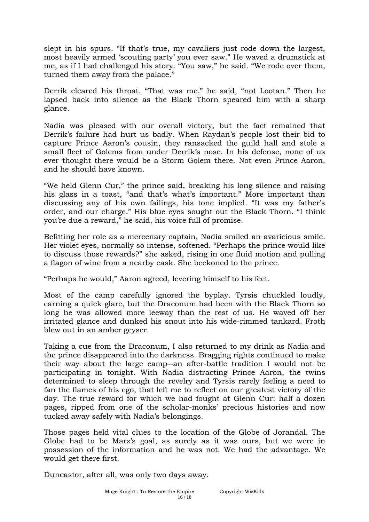slept in his spurs. "If that's true, my cavaliers just rode down the largest, most heavily armed 'scouting party' you ever saw." He waved a drumstick at me, as if I had challenged his story. "You saw," he said. "We rode over them, turned them away from the palace."

Derrik cleared his throat. "That was me," he said, "not Lootan." Then he lapsed back into silence as the Black Thorn speared him with a sharp glance.

Nadia was pleased with our overall victory, but the fact remained that Derrik's failure had hurt us badly. When Raydan's people lost their bid to capture Prince Aaron's cousin, they ransacked the guild hall and stole a small fleet of Golems from under Derrik's nose. In his defense, none of us ever thought there would be a Storm Golem there. Not even Prince Aaron, and he should have known.

"We held Glenn Cur," the prince said, breaking his long silence and raising his glass in a toast, "and that's what's important." More important than discussing any of his own failings, his tone implied. "It was my father's order, and our charge." His blue eyes sought out the Black Thorn. "I think you're due a reward," he said, his voice full of promise.

Befitting her role as a mercenary captain, Nadia smiled an avaricious smile. Her violet eyes, normally so intense, softened. "Perhaps the prince would like to discuss those rewards?" she asked, rising in one fluid motion and pulling a flagon of wine from a nearby cask. She beckoned to the prince.

"Perhaps he would," Aaron agreed, levering himself to his feet.

Most of the camp carefully ignored the byplay. Tyrsis chuckled loudly, earning a quick glare, but the Draconum had been with the Black Thorn so long he was allowed more leeway than the rest of us. He waved off her irritated glance and dunked his snout into his wide-rimmed tankard. Froth blew out in an amber geyser.

Taking a cue from the Draconum, I also returned to my drink as Nadia and the prince disappeared into the darkness. Bragging rights continued to make their way about the large camp--an after-battle tradition I would not be participating in tonight. With Nadia distracting Prince Aaron, the twins determined to sleep through the revelry and Tyrsis rarely feeling a need to fan the flames of his ego, that left me to reflect on our greatest victory of the day. The true reward for which we had fought at Glenn Cur: half a dozen pages, ripped from one of the scholar-monks' precious histories and now tucked away safely with Nadia's belongings.

Those pages held vital clues to the location of the Globe of Jorandal. The Globe had to be Marz's goal, as surely as it was ours, but we were in possession of the information and he was not. We had the advantage. We would get there first.

Duncastor, after all, was only two days away.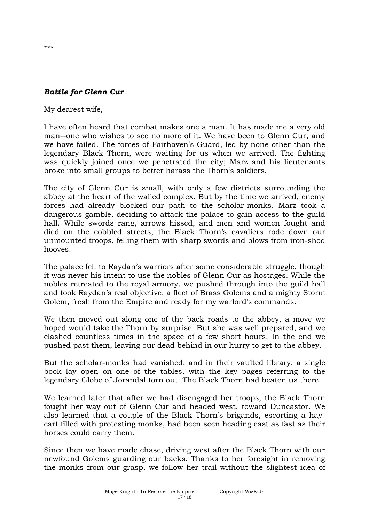# *Battle for Glenn Cur*

My dearest wife,

I have often heard that combat makes one a man. It has made me a very old man--one who wishes to see no more of it. We have been to Glenn Cur, and we have failed. The forces of Fairhaven's Guard, led by none other than the legendary Black Thorn, were waiting for us when we arrived. The fighting was quickly joined once we penetrated the city; Marz and his lieutenants broke into small groups to better harass the Thorn's soldiers.

The city of Glenn Cur is small, with only a few districts surrounding the abbey at the heart of the walled complex. But by the time we arrived, enemy forces had already blocked our path to the scholar-monks. Marz took a dangerous gamble, deciding to attack the palace to gain access to the guild hall. While swords rang, arrows hissed, and men and women fought and died on the cobbled streets, the Black Thorn's cavaliers rode down our unmounted troops, felling them with sharp swords and blows from iron-shod hooves.

The palace fell to Raydan's warriors after some considerable struggle, though it was never his intent to use the nobles of Glenn Cur as hostages. While the nobles retreated to the royal armory, we pushed through into the guild hall and took Raydan's real objective: a fleet of Brass Golems and a mighty Storm Golem, fresh from the Empire and ready for my warlord's commands.

We then moved out along one of the back roads to the abbey, a move we hoped would take the Thorn by surprise. But she was well prepared, and we clashed countless times in the space of a few short hours. In the end we pushed past them, leaving our dead behind in our hurry to get to the abbey.

But the scholar-monks had vanished, and in their vaulted library, a single book lay open on one of the tables, with the key pages referring to the legendary Globe of Jorandal torn out. The Black Thorn had beaten us there.

We learned later that after we had disengaged her troops, the Black Thorn fought her way out of Glenn Cur and headed west, toward Duncastor. We also learned that a couple of the Black Thorn's brigands, escorting a haycart filled with protesting monks, had been seen heading east as fast as their horses could carry them.

Since then we have made chase, driving west after the Black Thorn with our newfound Golems guarding our backs. Thanks to her foresight in removing the monks from our grasp, we follow her trail without the slightest idea of